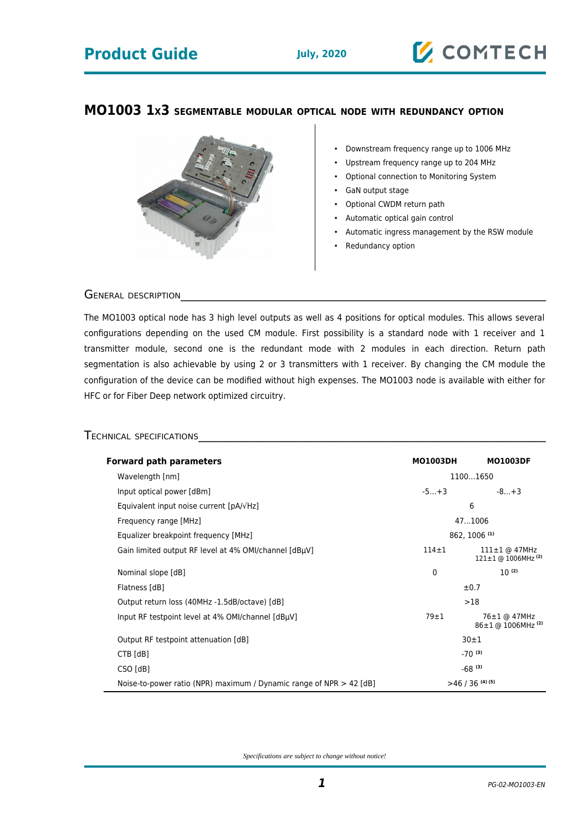# **Product Guide July, 2020**

#### **MO1003 1X3 SEGMENTABLE MODULAR OPTICAL NODE WITH REDUNDANCY OPTION**



• Downstream frequency range up to 1006 MHz

**Z COMTECH** 

- Upstream frequency range up to 204 MHz
- Optional connection to Monitoring System
- GaN output stage
- Optional CWDM return path
- Automatic optical gain control
- Automatic ingress management by the RSW module
- Redundancy option

#### GENERAL DESCRIPTION

The MO1003 optical node has 3 high level outputs as well as 4 positions for optical modules. This allows several configurations depending on the used CM module. First possibility is a standard node with 1 receiver and 1 transmitter module, second one is the redundant mode with 2 modules in each direction. Return path segmentation is also achievable by using 2 or 3 transmitters with 1 receiver. By changing the CM module the configuration of the device can be modified without high expenses. The MO1003 node is available with either for HFC or for Fiber Deep network optimized circuitry.

### TECHNICAL SPECIFICATIONS\_\_\_\_\_\_\_\_\_\_\_\_\_\_\_\_\_\_\_\_\_\_\_\_\_\_\_\_\_\_\_\_\_\_\_\_\_\_\_\_\_\_\_\_\_\_\_\_\_\_\_\_\_\_\_\_\_\_\_

| <b>Forward path parameters</b>                                        | <b>MO1003DH</b>      | <b>MO1003DF</b>                                             |
|-----------------------------------------------------------------------|----------------------|-------------------------------------------------------------|
| Wavelength [nm]                                                       | 11001650             |                                                             |
| Input optical power [dBm]                                             | $-5+3$               | $-8+3$                                                      |
| Equivalent input noise current $[pA/\sqrt{Hz}]$                       | 6                    |                                                             |
| Frequency range [MHz]                                                 | 471006               |                                                             |
| Equalizer breakpoint frequency [MHz]                                  | 862, 1006 (1)        |                                                             |
| Gain limited output RF level at 4% OMI/channel [dBµV]                 | $114 + 1$            | $111 \pm 1$ @ 47MHz<br>$121 \pm 1$ @ 1006MHz <sup>(2)</sup> |
| Nominal slope [dB]                                                    | $\mathbf{0}$         | $10^{(2)}$                                                  |
| Flatness [dB]                                                         | $\pm 0.7$            |                                                             |
| Output return loss (40MHz -1.5dB/octave) [dB]                         | >18                  |                                                             |
| Input RF testpoint level at 4% OMI/channel [dBµV]                     | $79 \pm 1$           | 76±1 @ 47MHz<br>86±1 @ 1006MHz <sup>(2)</sup>               |
| Output RF testpoint attenuation [dB]                                  | 30±1                 |                                                             |
| $CTB$ [dB]                                                            | $-70^{(3)}$          |                                                             |
| CSO [dB]                                                              | $-68$ <sup>(3)</sup> |                                                             |
| Noise-to-power ratio (NPR) maximum / Dynamic range of NPR $>$ 42 [dB] | $>46/36$ (4)(5)      |                                                             |

*Specifications are subject to change without notice!*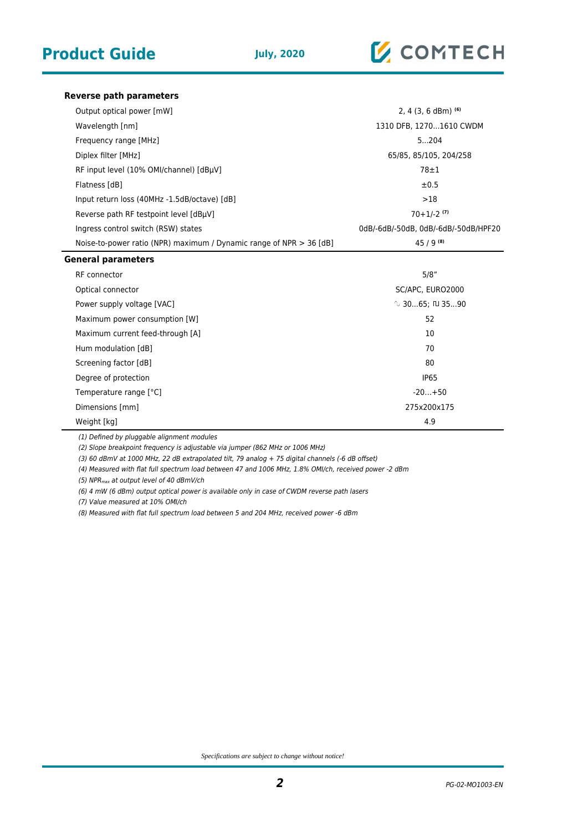

#### **Reverse path parameters**

| Output optical power [mW]                                           | 2, 4 $(3, 6$ dBm $)$ <sup>(6)</sup>  |
|---------------------------------------------------------------------|--------------------------------------|
| Wavelength [nm]                                                     | 1310 DFB, 12701610 CWDM              |
| Frequency range [MHz]                                               | 5204                                 |
| Diplex filter [MHz]                                                 | 65/85, 85/105, 204/258               |
| RF input level (10% OMI/channel) [dBµV]                             | $78 \pm 1$                           |
| Flatness [dB]                                                       | ±0.5                                 |
| Input return loss (40MHz -1.5dB/octave) [dB]                        | >18                                  |
| Reverse path RF testpoint level [dBµV]                              | $70+1/-2$ <sup>(7)</sup>             |
| Ingress control switch (RSW) states                                 | 0dB/-6dB/-50dB, 0dB/-6dB/-50dB/HPF20 |
| Noise-to-power ratio (NPR) maximum / Dynamic range of NPR > 36 [dB] | $45/9^{(8)}$                         |
| <b>General parameters</b>                                           |                                      |
| RF connector                                                        | 5/8"                                 |
| Optical connector                                                   | SC/APC, EURO2000                     |
| Power supply voltage [VAC]                                          | $\sim$ 3065; $\Pi$ 3590              |
| Maximum power consumption [W]                                       | 52                                   |
| Maximum current feed-through [A]                                    | 10                                   |
| Hum modulation [dB]                                                 | 70                                   |
| Screening factor [dB]                                               | 80                                   |
| Degree of protection                                                | <b>IP65</b>                          |

Weight [kg] 4.9

(1) Defined by pluggable alignment modules

(2) Slope breakpoint frequency is adjustable via jumper (862 MHz or 1006 MHz)

(3) 60 dBmV at 1000 MHz, 22 dB extrapolated tilt, 79 analog + 75 digital channels (-6 dB offset)

(4) Measured with flat full spectrum load between 47 and 1006 MHz, 1.8% OMI/ch, received power -2 dBm

Temperature range [°C]  $-20...+50$ Dimensions [mm] 275x200x175

(5) NPR<sub>max</sub> at output level of 40 dBmV/ch

(6) 4 mW (6 dBm) output optical power is available only in case of CWDM reverse path lasers

(7) Value measured at 10% OMI/ch

(8) Measured with flat full spectrum load between 5 and 204 MHz, received power -6 dBm

*Specifications are subject to change without notice!*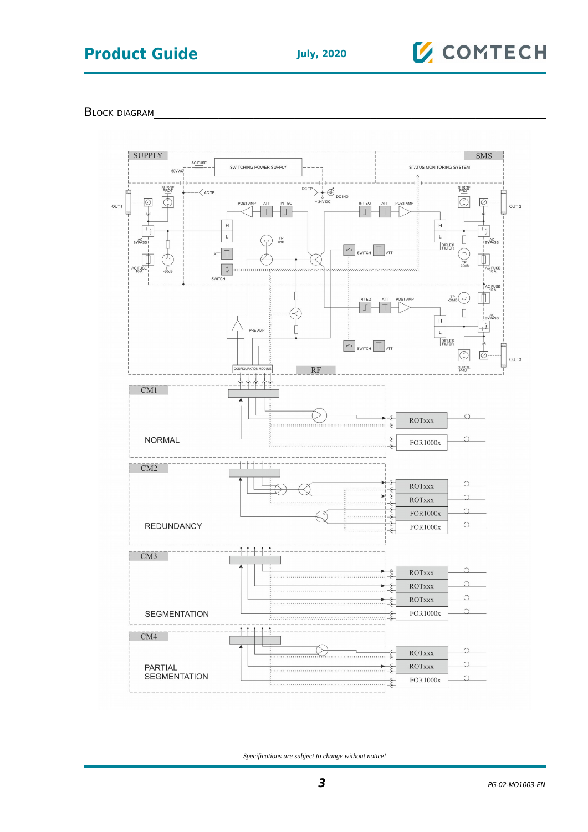# **Product Guide** July, 2020

# **Z** COMTECH

BLOCK DIAGRAM



*Specifications are subject to change without notice!*